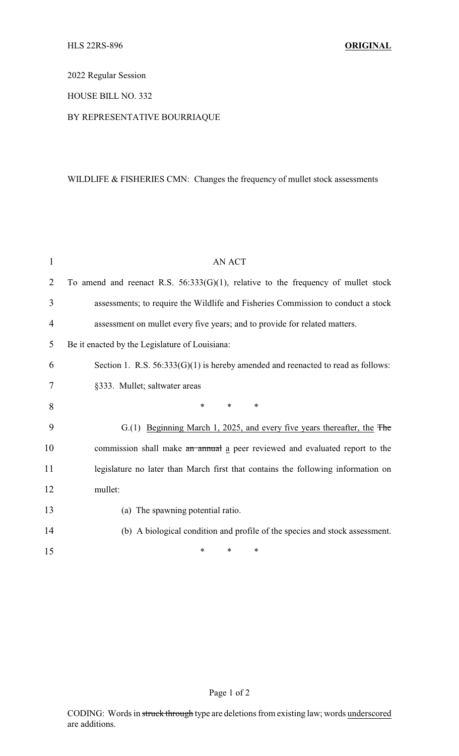2022 Regular Session

## HOUSE BILL NO. 332

## BY REPRESENTATIVE BOURRIAQUE

## WILDLIFE & FISHERIES CMN: Changes the frequency of mullet stock assessments

| 1              | <b>AN ACT</b>                                                                        |
|----------------|--------------------------------------------------------------------------------------|
| $\overline{2}$ | To amend and reenact R.S. $56:333(G)(1)$ , relative to the frequency of mullet stock |
| 3              | assessments; to require the Wildlife and Fisheries Commission to conduct a stock     |
| $\overline{4}$ | assessment on mullet every five years; and to provide for related matters.           |
| 5              | Be it enacted by the Legislature of Louisiana:                                       |
| 6              | Section 1. R.S. $56:333(G)(1)$ is hereby amended and reenacted to read as follows:   |
| 7              | §333. Mullet; saltwater areas                                                        |
| 8              | $\ast$<br>$\ast$<br>∗                                                                |
| 9              | G.(1) Beginning March 1, 2025, and every five years thereafter, the The              |
| 10             | commission shall make an annual a peer reviewed and evaluated report to the          |
| 11             | legislature no later than March first that contains the following information on     |
| 12             | mullet:                                                                              |
| 13             | (a) The spawning potential ratio.                                                    |
| 14             | (b) A biological condition and profile of the species and stock assessment.          |
| 15             | *<br>∗<br>*                                                                          |